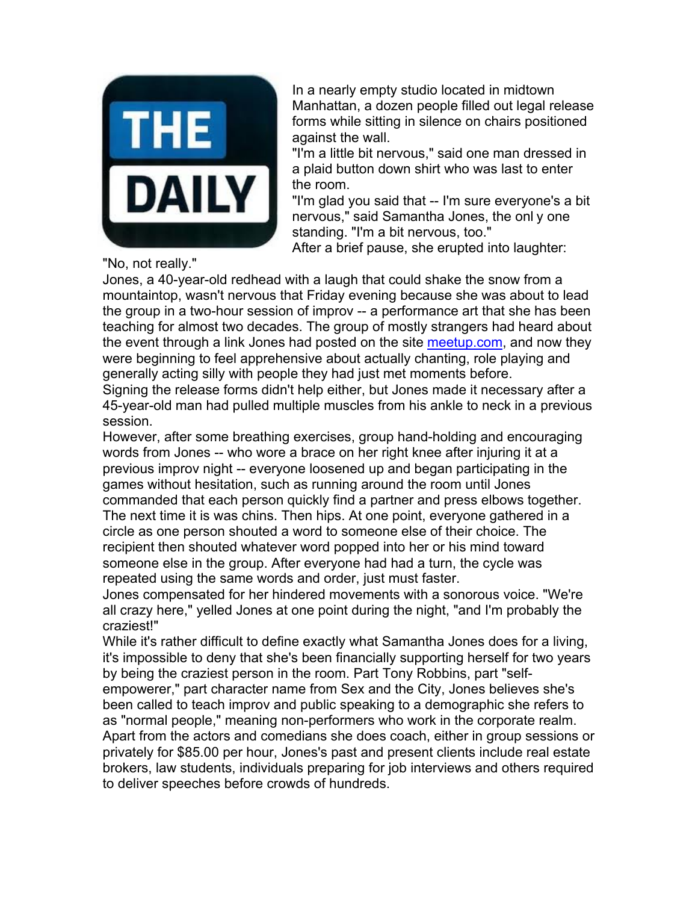

In a nearly empty studio located in midtown Manhattan, a dozen people filled out legal release forms while sitting in silence on chairs positioned against the wall.

"I'm a little bit nervous," said one man dressed in a plaid button down shirt who was last to enter the room.

"I'm glad you said that -- I'm sure everyone's a bit nervous," said Samantha Jones, the onl y one standing. "I'm a bit nervous, too."

After a brief pause, she erupted into laughter:

"No, not really."

Jones, a 40-year-old redhead with a laugh that could shake the snow from a mountaintop, wasn't nervous that Friday evening because she was about to lead the group in a two-hour session of improv -- a performance art that she has been teaching for almost two decades. The group of mostly strangers had heard about the event through a link Jones had posted on the site meetup.com, and now they were beginning to feel apprehensive about actually chanting, role playing and generally acting silly with people they had just met moments before.

Signing the release forms didn't help either, but Jones made it necessary after a 45-year-old man had pulled multiple muscles from his ankle to neck in a previous session.

However, after some breathing exercises, group hand-holding and encouraging words from Jones -- who wore a brace on her right knee after injuring it at a previous improv night -- everyone loosened up and began participating in the games without hesitation, such as running around the room until Jones commanded that each person quickly find a partner and press elbows together. The next time it is was chins. Then hips. At one point, everyone gathered in a circle as one person shouted a word to someone else of their choice. The recipient then shouted whatever word popped into her or his mind toward someone else in the group. After everyone had had a turn, the cycle was repeated using the same words and order, just must faster.

Jones compensated for her hindered movements with a sonorous voice. "We're all crazy here," yelled Jones at one point during the night, "and I'm probably the craziest!"

While it's rather difficult to define exactly what Samantha Jones does for a living, it's impossible to deny that she's been financially supporting herself for two years by being the craziest person in the room. Part Tony Robbins, part "self-

empowerer," part character name from Sex and the City, Jones believes she's been called to teach improv and public speaking to a demographic she refers to as "normal people," meaning non-performers who work in the corporate realm. Apart from the actors and comedians she does coach, either in group sessions or privately for \$85.00 per hour, Jones's past and present clients include real estate brokers, law students, individuals preparing for job interviews and others required to deliver speeches before crowds of hundreds.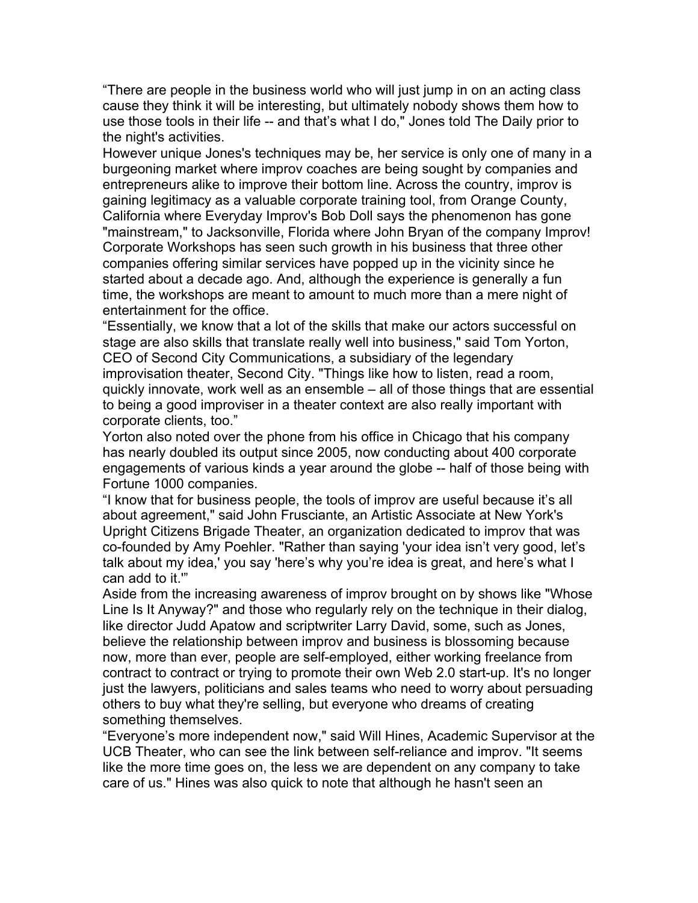"There are people in the business world who will just jump in on an acting class cause they think it will be interesting, but ultimately nobody shows them how to use those tools in their life -- and that's what I do," Jones told The Daily prior to the night's activities.

However unique Jones's techniques may be, her service is only one of many in a burgeoning market where improv coaches are being sought by companies and entrepreneurs alike to improve their bottom line. Across the country, improv is gaining legitimacy as a valuable corporate training tool, from Orange County, California where Everyday Improv's Bob Doll says the phenomenon has gone "mainstream," to Jacksonville, Florida where John Bryan of the company Improv! Corporate Workshops has seen such growth in his business that three other companies offering similar services have popped up in the vicinity since he started about a decade ago. And, although the experience is generally a fun time, the workshops are meant to amount to much more than a mere night of entertainment for the office.

"Essentially, we know that a lot of the skills that make our actors successful on stage are also skills that translate really well into business," said Tom Yorton, CEO of Second City Communications, a subsidiary of the legendary improvisation theater, Second City. "Things like how to listen, read a room, quickly innovate, work well as an ensemble – all of those things that are essential to being a good improviser in a theater context are also really important with corporate clients, too."

Yorton also noted over the phone from his office in Chicago that his company has nearly doubled its output since 2005, now conducting about 400 corporate engagements of various kinds a year around the globe -- half of those being with Fortune 1000 companies.

"I know that for business people, the tools of improv are useful because it's all about agreement," said John Frusciante, an Artistic Associate at New York's Upright Citizens Brigade Theater, an organization dedicated to improv that was co-founded by Amy Poehler. "Rather than saying 'your idea isn't very good, let's talk about my idea,' you say 'here's why you're idea is great, and here's what I can add to it.'"

Aside from the increasing awareness of improv brought on by shows like "Whose Line Is It Anyway?" and those who regularly rely on the technique in their dialog, like director Judd Apatow and scriptwriter Larry David, some, such as Jones, believe the relationship between improv and business is blossoming because now, more than ever, people are self-employed, either working freelance from contract to contract or trying to promote their own Web 2.0 start-up. It's no longer just the lawyers, politicians and sales teams who need to worry about persuading others to buy what they're selling, but everyone who dreams of creating something themselves.

"Everyone's more independent now," said Will Hines, Academic Supervisor at the UCB Theater, who can see the link between self-reliance and improv. "It seems like the more time goes on, the less we are dependent on any company to take care of us." Hines was also quick to note that although he hasn't seen an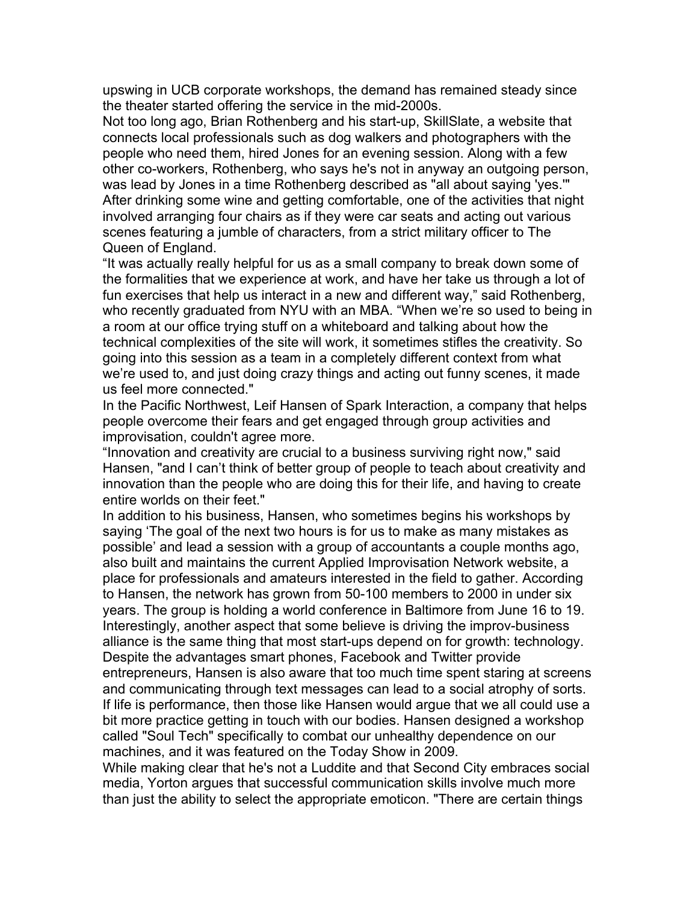upswing in UCB corporate workshops, the demand has remained steady since the theater started offering the service in the mid-2000s.

Not too long ago, Brian Rothenberg and his start-up, SkillSlate, a website that connects local professionals such as dog walkers and photographers with the people who need them, hired Jones for an evening session. Along with a few other co-workers, Rothenberg, who says he's not in anyway an outgoing person, was lead by Jones in a time Rothenberg described as "all about saying 'yes.'" After drinking some wine and getting comfortable, one of the activities that night involved arranging four chairs as if they were car seats and acting out various scenes featuring a jumble of characters, from a strict military officer to The Queen of England.

"It was actually really helpful for us as a small company to break down some of the formalities that we experience at work, and have her take us through a lot of fun exercises that help us interact in a new and different way," said Rothenberg, who recently graduated from NYU with an MBA. "When we're so used to being in a room at our office trying stuff on a whiteboard and talking about how the technical complexities of the site will work, it sometimes stifles the creativity. So going into this session as a team in a completely different context from what we're used to, and just doing crazy things and acting out funny scenes, it made us feel more connected."

In the Pacific Northwest, Leif Hansen of Spark Interaction, a company that helps people overcome their fears and get engaged through group activities and improvisation, couldn't agree more.

"Innovation and creativity are crucial to a business surviving right now," said Hansen, "and I can't think of better group of people to teach about creativity and innovation than the people who are doing this for their life, and having to create entire worlds on their feet."

In addition to his business, Hansen, who sometimes begins his workshops by saying 'The goal of the next two hours is for us to make as many mistakes as possible' and lead a session with a group of accountants a couple months ago, also built and maintains the current Applied Improvisation Network website, a place for professionals and amateurs interested in the field to gather. According to Hansen, the network has grown from 50-100 members to 2000 in under six years. The group is holding a world conference in Baltimore from June 16 to 19. Interestingly, another aspect that some believe is driving the improv-business alliance is the same thing that most start-ups depend on for growth: technology. Despite the advantages smart phones, Facebook and Twitter provide entrepreneurs, Hansen is also aware that too much time spent staring at screens and communicating through text messages can lead to a social atrophy of sorts. If life is performance, then those like Hansen would argue that we all could use a bit more practice getting in touch with our bodies. Hansen designed a workshop called "Soul Tech" specifically to combat our unhealthy dependence on our machines, and it was featured on the Today Show in 2009.

While making clear that he's not a Luddite and that Second City embraces social media, Yorton argues that successful communication skills involve much more than just the ability to select the appropriate emoticon. "There are certain things